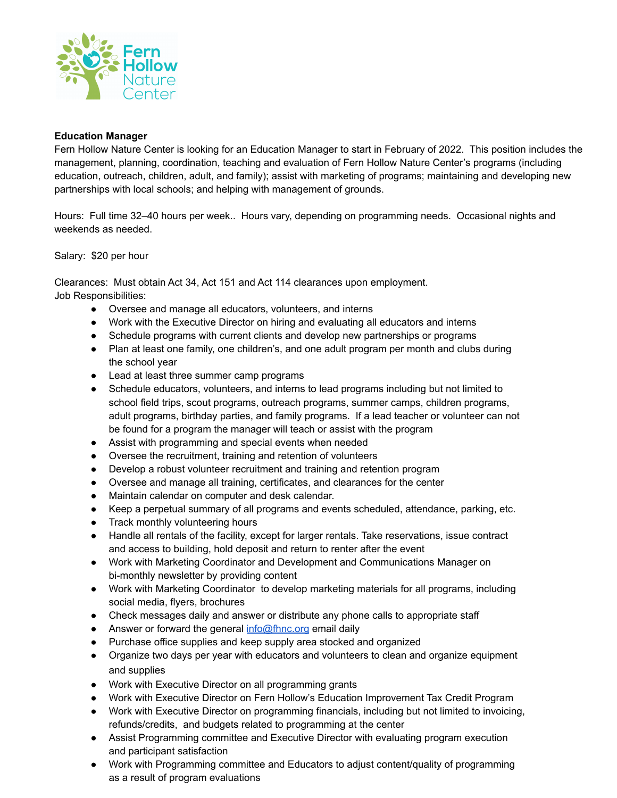

## **Education Manager**

Fern Hollow Nature Center is looking for an Education Manager to start in February of 2022. This position includes the management, planning, coordination, teaching and evaluation of Fern Hollow Nature Center's programs (including education, outreach, children, adult, and family); assist with marketing of programs; maintaining and developing new partnerships with local schools; and helping with management of grounds.

Hours: Full time 32–40 hours per week.. Hours vary, depending on programming needs. Occasional nights and weekends as needed.

Salary: \$20 per hour

Clearances: Must obtain Act 34, Act 151 and Act 114 clearances upon employment. Job Responsibilities:

- Oversee and manage all educators, volunteers, and interns
- Work with the Executive Director on hiring and evaluating all educators and interns
- Schedule programs with current clients and develop new partnerships or programs
- Plan at least one family, one children's, and one adult program per month and clubs during the school year
- Lead at least three summer camp programs
- Schedule educators, volunteers, and interns to lead programs including but not limited to school field trips, scout programs, outreach programs, summer camps, children programs, adult programs, birthday parties, and family programs. If a lead teacher or volunteer can not be found for a program the manager will teach or assist with the program
- Assist with programming and special events when needed
- Oversee the recruitment, training and retention of volunteers
- Develop a robust volunteer recruitment and training and retention program
- Oversee and manage all training, certificates, and clearances for the center
- Maintain calendar on computer and desk calendar.
- Keep a perpetual summary of all programs and events scheduled, attendance, parking, etc.
- Track monthly volunteering hours
- Handle all rentals of the facility, except for larger rentals. Take reservations, issue contract and access to building, hold deposit and return to renter after the event
- Work with Marketing Coordinator and Development and Communications Manager on bi-monthly newsletter by providing content
- Work with Marketing Coordinator to develop marketing materials for all programs, including social media, flyers, brochures
- Check messages daily and answer or distribute any phone calls to appropriate staff
- Answer or forward the general [info@fhnc.org](mailto:info@fhnc.org) email daily
- Purchase office supplies and keep supply area stocked and organized
- Organize two days per year with educators and volunteers to clean and organize equipment and supplies
- Work with Executive Director on all programming grants
- Work with Executive Director on Fern Hollow's Education Improvement Tax Credit Program
- Work with Executive Director on programming financials, including but not limited to invoicing, refunds/credits, and budgets related to programming at the center
- Assist Programming committee and Executive Director with evaluating program execution and participant satisfaction
- Work with Programming committee and Educators to adjust content/quality of programming as a result of program evaluations